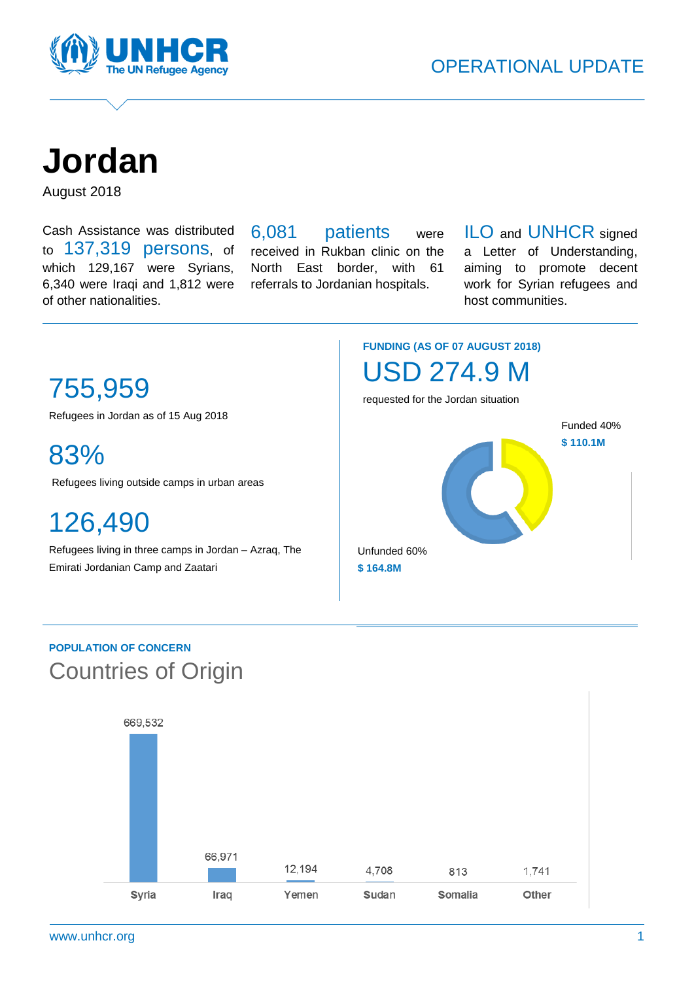<span id="page-0-0"></span>

**Jordan** 

August 2018

Cash Assistance was distributed to 137,319 persons, of which 129,167 were Syrians, 6,340 were Iraqi and 1,812 were of other nationalities.

6,081 patients were received in Rukban clinic on the North East border, with 61 referrals to Jordanian hospitals.

ILO and UNHCR signed a Letter of Understanding, aiming to promote decent work for Syrian refugees and host communities.

# 755,959

Refugees in Jordan as of 15 Aug 2018

83%

Refugees living outside camps in urban areas

126,490

Refugees living in three camps in Jordan – Azraq, The Emirati Jordanian Camp and Zaatari

### **FUNDING (AS OF 07 AUGUST 2018)** USD 274.9 M

requested for the Jordan situation



### **POPULATION OF CONCERN** Countries of Origin

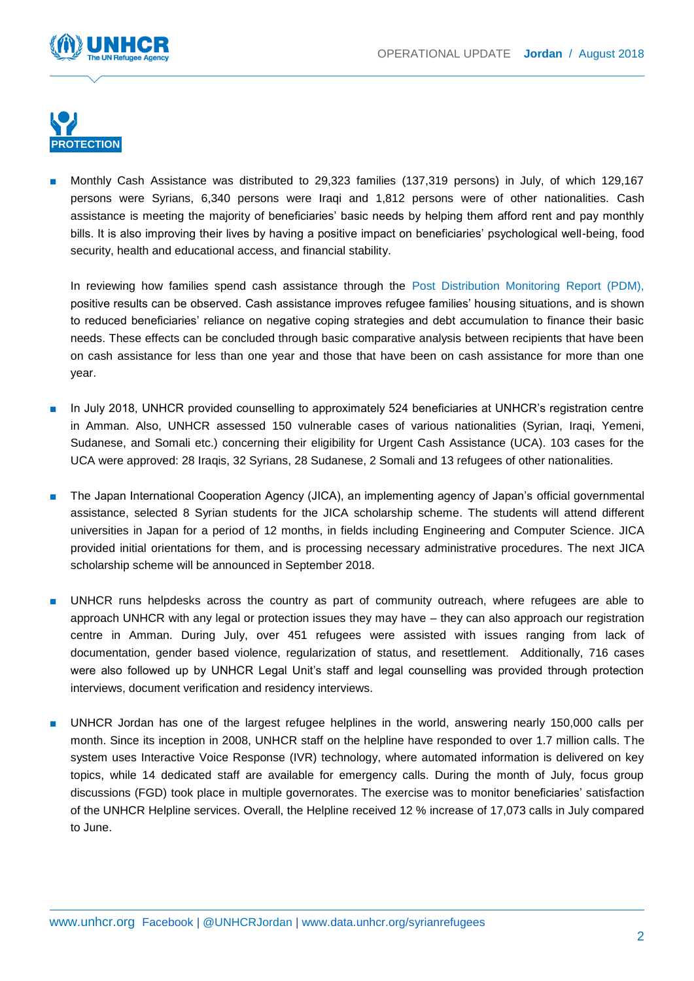



Monthly Cash Assistance was distributed to 29,323 families (137,319 persons) in July, of which 129,167 persons were Syrians, 6,340 persons were Iraqi and 1,812 persons were of other nationalities. Cash assistance is meeting the majority of beneficiaries' basic needs by helping them afford rent and pay monthly bills. It is also improving their lives by having a positive impact on beneficiaries' psychological well-being, food security, health and educational access, and financial stability.

In reviewing how families spend cash assistance through the [Post Distribution Monitoring Report \(PDM\),](https://data2.unhcr.org/en/documents/details/65143) positive results can be observed. Cash assistance improves refugee families' housing situations, and is shown to reduced beneficiaries' reliance on negative coping strategies and debt accumulation to finance their basic needs. These effects can be concluded through basic comparative analysis between recipients that have been on cash assistance for less than one year and those that have been on cash assistance for more than one year.

- In July 2018, UNHCR provided counselling to approximately 524 beneficiaries at UNHCR's registration centre in Amman. Also, UNHCR assessed 150 vulnerable cases of various nationalities (Syrian, Iraqi, Yemeni, Sudanese, and Somali etc.) concerning their eligibility for Urgent Cash Assistance (UCA). 103 cases for the UCA were approved: 28 Iraqis, 32 Syrians, 28 Sudanese, 2 Somali and 13 refugees of other nationalities.
- The Japan International Cooperation Agency (JICA), an implementing agency of Japan's official governmental assistance, selected 8 Syrian students for the JICA scholarship scheme. The students will attend different universities in Japan for a period of 12 months, in fields including Engineering and Computer Science. JICA provided initial orientations for them, and is processing necessary administrative procedures. The next JICA scholarship scheme will be announced in September 2018.
- UNHCR runs helpdesks across the country as part of community outreach, where refugees are able to approach UNHCR with any legal or protection issues they may have – they can also approach our registration centre in Amman. During July, over 451 refugees were assisted with issues ranging from lack of documentation, gender based violence, regularization of status, and resettlement. Additionally, 716 cases were also followed up by UNHCR Legal Unit's staff and legal counselling was provided through protection interviews, document verification and residency interviews.
- UNHCR Jordan has one of the largest refugee helplines in the world, answering nearly 150,000 calls per month. Since its inception in 2008, UNHCR staff on the helpline have responded to over 1.7 million calls. The system uses Interactive Voice Response (IVR) technology, where automated information is delivered on key topics, while 14 dedicated staff are available for emergency calls. During the month of July, focus group discussions (FGD) took place in multiple governorates. The exercise was to monitor beneficiaries' satisfaction of the UNHCR Helpline services. Overall, the Helpline received 12 % increase of 17,073 calls in July compared to June.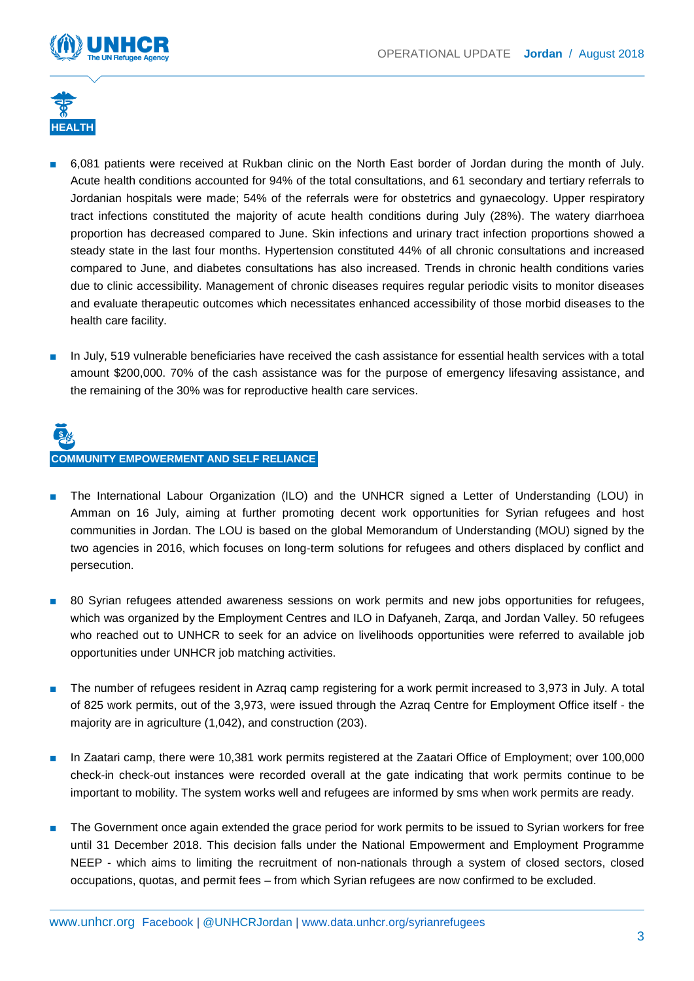



- 6,081 patients were received at Rukban clinic on the North East border of Jordan during the month of July. Acute health conditions accounted for 94% of the total consultations, and 61 secondary and tertiary referrals to Jordanian hospitals were made; 54% of the referrals were for obstetrics and gynaecology. Upper respiratory tract infections constituted the majority of acute health conditions during July (28%). The watery diarrhoea proportion has decreased compared to June. Skin infections and urinary tract infection proportions showed a steady state in the last four months. Hypertension constituted 44% of all chronic consultations and increased compared to June, and diabetes consultations has also increased. Trends in chronic health conditions varies due to clinic accessibility. Management of chronic diseases requires regular periodic visits to monitor diseases and evaluate therapeutic outcomes which necessitates enhanced accessibility of those morbid diseases to the health care facility.
- In July, 519 vulnerable beneficiaries have received the cash assistance for essential health services with a total amount \$200,000. 70% of the cash assistance was for the purpose of emergency lifesaving assistance, and the remaining of the 30% was for reproductive health care services.

# **COMMUNITY EMPOWERMENT AND SELF RELIANCE**

- The International Labour Organization (ILO) and the UNHCR signed a Letter of Understanding (LOU) in Amman on 16 July, aiming at further promoting decent work opportunities for Syrian refugees and host communities in Jordan. The LOU is based on the global Memorandum of Understanding (MOU) signed by the two agencies in 2016, which focuses on long-term solutions for refugees and others displaced by conflict and persecution.
- 80 Syrian refugees attended awareness sessions on work permits and new jobs opportunities for refugees, which was organized by the Employment Centres and ILO in Dafyaneh, Zarqa, and Jordan Valley. 50 refugees who reached out to UNHCR to seek for an advice on livelihoods opportunities were referred to available job opportunities under UNHCR job matching activities.
- The number of refugees resident in Azraq camp registering for a work permit increased to 3,973 in July. A total of 825 work permits, out of the 3,973, were issued through the Azraq Centre for Employment Office itself - the majority are in agriculture (1,042), and construction (203).
- In Zaatari camp, there were 10,381 work permits registered at the Zaatari Office of Employment; over 100,000 check-in check-out instances were recorded overall at the gate indicating that work permits continue to be important to mobility. The system works well and refugees are informed by sms when work permits are ready.
- The Government once again extended the grace period for work permits to be issued to Syrian workers for free until 31 December 2018. This decision falls under the National Empowerment and Employment Programme NEEP - which aims to limiting the recruitment of non-nationals through a system of closed sectors, closed occupations, quotas, and permit fees – from which Syrian refugees are now confirmed to be excluded.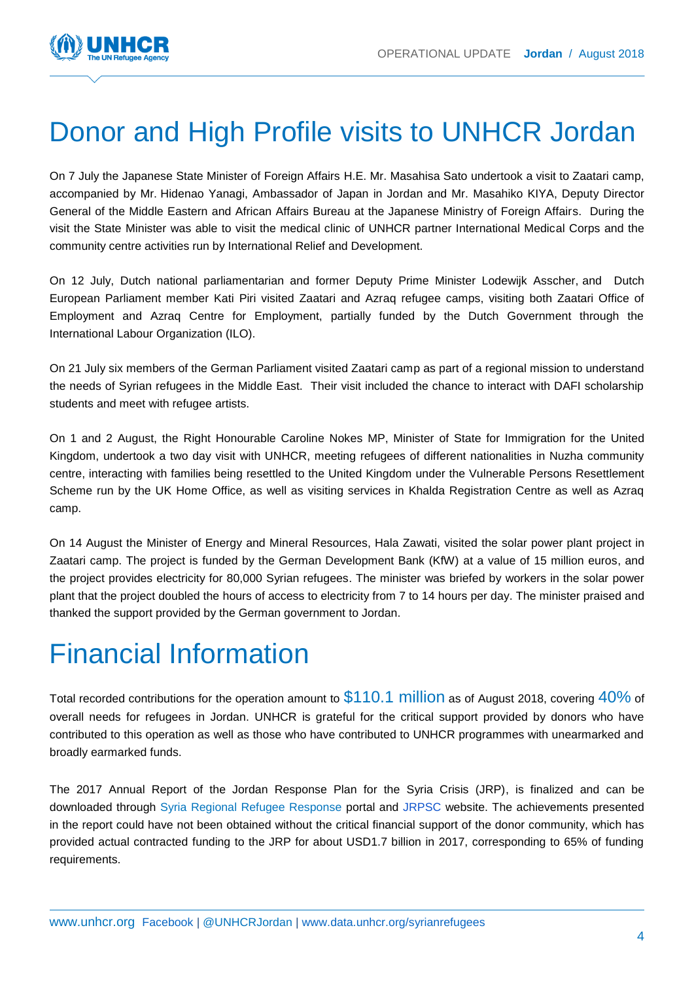

# Donor and High Profile visits to UNHCR Jordan

On 7 July the Japanese State Minister of Foreign Affairs H.E. Mr. Masahisa Sato undertook a visit to Zaatari camp, accompanied by Mr. Hidenao Yanagi, Ambassador of Japan in Jordan and Mr. Masahiko KIYA, Deputy Director General of the Middle Eastern and African Affairs Bureau at the Japanese Ministry of Foreign Affairs. During the visit the State Minister was able to visit the medical clinic of UNHCR partner International Medical Corps and the community centre activities run by International Relief and Development.

On 12 July, Dutch national parliamentarian and former Deputy Prime Minister Lodewijk Asscher, and Dutch European Parliament member Kati Piri visited Zaatari and Azraq refugee camps, visiting both Zaatari Office of Employment and Azraq Centre for Employment, partially funded by the Dutch Government through the International Labour Organization (ILO).

On 21 July six members of the German Parliament visited Zaatari camp as part of a regional mission to understand the needs of Syrian refugees in the Middle East. Their visit included the chance to interact with DAFI scholarship students and meet with refugee artists.

On 1 and 2 August, the Right Honourable Caroline Nokes MP, Minister of State for Immigration for the United Kingdom, undertook a two day visit with UNHCR, meeting refugees of different nationalities in Nuzha community centre, interacting with families being resettled to the United Kingdom under the Vulnerable Persons Resettlement Scheme run by the UK Home Office, as well as visiting services in Khalda Registration Centre as well as Azraq camp.

On 14 August the Minister of Energy and Mineral Resources, Hala Zawati, visited the solar power plant project in Zaatari camp. The project is funded by the German Development Bank (KfW) at a value of 15 million euros, and the project provides electricity for 80,000 Syrian refugees. The minister was briefed by workers in the solar power plant that the project doubled the hours of access to electricity from 7 to 14 hours per day. The minister praised and thanked the support provided by the German government to Jordan.

# Financial Information

Total recorded contributions for the operation amount to \$110.1 million as of August 2018, covering 40% of overall needs for refugees in Jordan. UNHCR is grateful for the critical support provided by donors who have contributed to this operation as well as those who have contributed to UNHCR programmes with unearmarked and broadly earmarked funds.

The [2017 Annual Report of the Jordan Response Plan for the Syria Crisis \(JRP\),](https://www.dropbox.com/s/wrpd1g9gpcikhzu/JRP2017Annual%20Report_Final.pdf?dl=0) is finalized and can be downloaded through [Syria Regional Refugee Response](#page-0-0) portal and [JRPSC](http://www.jrpsc.org/) website. The achievements presented in the report could have not been obtained without the critical financial support of the donor community, which has provided actual contracted funding to the JRP for about USD1.7 billion in 2017, corresponding to 65% of funding requirements.